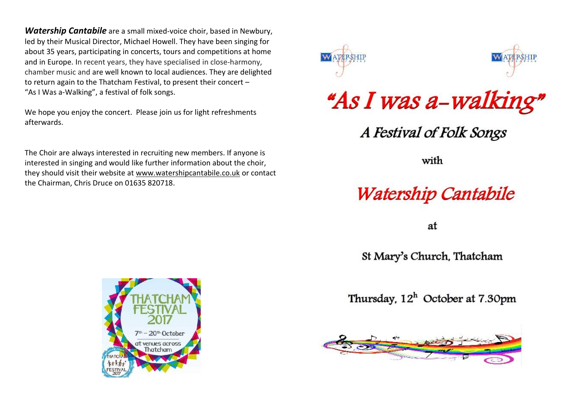*Watership Cantabile* are a small mixed-voice choir, based in Newbury, led by their Musical Director, Michael Howell. They have been singing for about 35 years, participating in concerts, tours and competitions at home and in Europe. In recent years, they have specialised in close-harmony, chamber music and are well known to local audiences. They are delighted to return again to the Thatcham Festival, to present their concert – "As I Was a-Walking", a festival of folk songs.

We hope you enjoy the concert. Please join us for light refreshments afterwards.

The Choir are always interested in recruiting new members. If anyone is interested in singing and would like further information about the choir, they should visit their website at [www.watershipcantabile.co.uk](http://www.watershipcantabile.co.uk/) or contact the Chairman, Chris Druce on 01635 820718.





## "As I was a-walking"

A Festival of Folk Songs

with

## **Watership Cantabile**

at

St Mary's Church, Thatcham

Thursday,  $12<sup>h</sup>$  October at 7.30pm